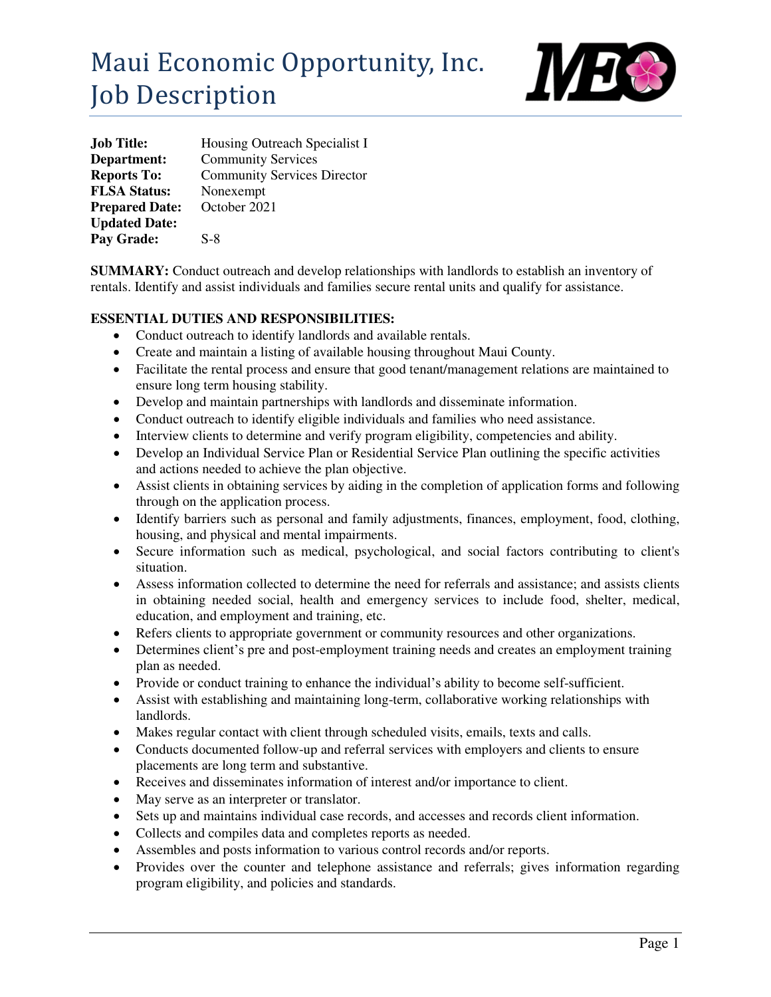# Maui Economic Opportunity, Inc. Job Description



| <b>Job Title:</b>     | Housing Outreach Specialist I      |
|-----------------------|------------------------------------|
| Department:           | <b>Community Services</b>          |
| <b>Reports To:</b>    | <b>Community Services Director</b> |
| <b>FLSA Status:</b>   | Nonexempt                          |
| <b>Prepared Date:</b> | October 2021                       |
| <b>Updated Date:</b>  |                                    |
| Pay Grade:            | $S-8$                              |

**SUMMARY:** Conduct outreach and develop relationships with landlords to establish an inventory of rentals. Identify and assist individuals and families secure rental units and qualify for assistance.

# **ESSENTIAL DUTIES AND RESPONSIBILITIES:**

- Conduct outreach to identify landlords and available rentals.
- Create and maintain a listing of available housing throughout Maui County.
- Facilitate the rental process and ensure that good tenant/management relations are maintained to ensure long term housing stability.
- Develop and maintain partnerships with landlords and disseminate information.
- Conduct outreach to identify eligible individuals and families who need assistance.
- Interview clients to determine and verify program eligibility, competencies and ability.
- Develop an Individual Service Plan or Residential Service Plan outlining the specific activities and actions needed to achieve the plan objective.
- Assist clients in obtaining services by aiding in the completion of application forms and following through on the application process.
- Identify barriers such as personal and family adjustments, finances, employment, food, clothing, housing, and physical and mental impairments.
- Secure information such as medical, psychological, and social factors contributing to client's situation.
- Assess information collected to determine the need for referrals and assistance; and assists clients in obtaining needed social, health and emergency services to include food, shelter, medical, education, and employment and training, etc.
- Refers clients to appropriate government or community resources and other organizations.
- Determines client's pre and post-employment training needs and creates an employment training plan as needed.
- Provide or conduct training to enhance the individual's ability to become self-sufficient.
- Assist with establishing and maintaining long-term, collaborative working relationships with landlords.
- Makes regular contact with client through scheduled visits, emails, texts and calls.
- Conducts documented follow-up and referral services with employers and clients to ensure placements are long term and substantive.
- Receives and disseminates information of interest and/or importance to client.
- May serve as an interpreter or translator.
- Sets up and maintains individual case records, and accesses and records client information.
- Collects and compiles data and completes reports as needed.
- Assembles and posts information to various control records and/or reports.
- Provides over the counter and telephone assistance and referrals; gives information regarding program eligibility, and policies and standards.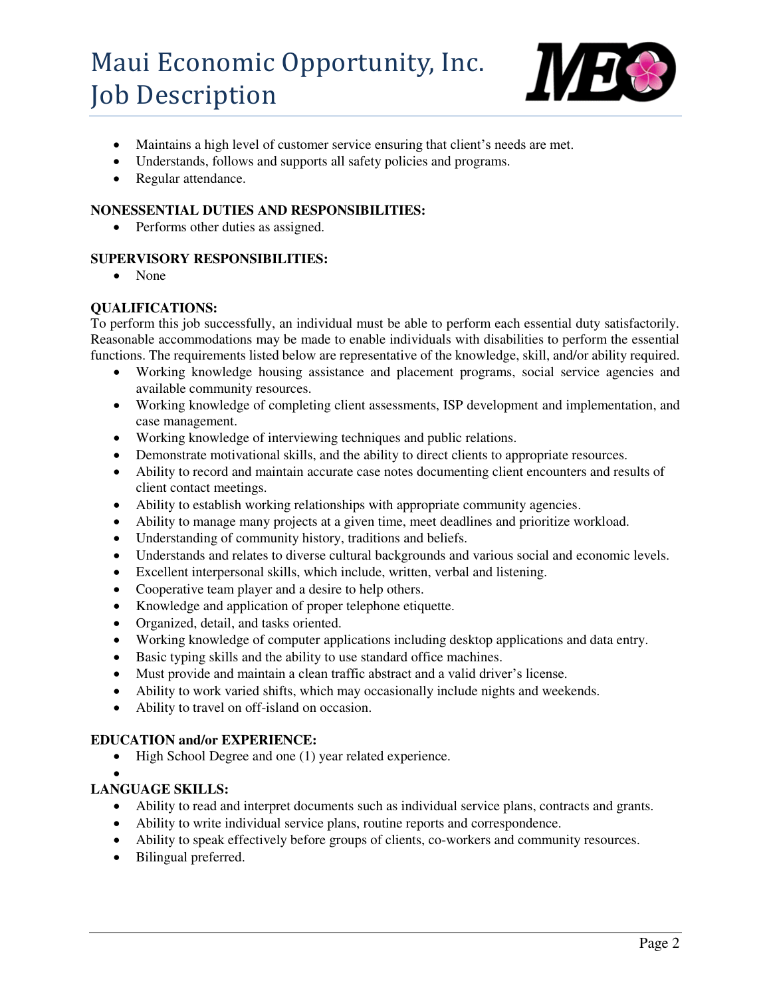# Maui Economic Opportunity, Inc. Job Description



- Maintains a high level of customer service ensuring that client's needs are met.
- Understands, follows and supports all safety policies and programs.
- Regular attendance.

# **NONESSENTIAL DUTIES AND RESPONSIBILITIES:**

• Performs other duties as assigned.

# **SUPERVISORY RESPONSIBILITIES:**

• None

# **QUALIFICATIONS:**

To perform this job successfully, an individual must be able to perform each essential duty satisfactorily. Reasonable accommodations may be made to enable individuals with disabilities to perform the essential functions. The requirements listed below are representative of the knowledge, skill, and/or ability required.

- Working knowledge housing assistance and placement programs, social service agencies and available community resources.
- Working knowledge of completing client assessments, ISP development and implementation, and case management.
- Working knowledge of interviewing techniques and public relations.
- Demonstrate motivational skills, and the ability to direct clients to appropriate resources.
- Ability to record and maintain accurate case notes documenting client encounters and results of client contact meetings.
- Ability to establish working relationships with appropriate community agencies.
- Ability to manage many projects at a given time, meet deadlines and prioritize workload.
- Understanding of community history, traditions and beliefs.
- Understands and relates to diverse cultural backgrounds and various social and economic levels.
- Excellent interpersonal skills, which include, written, verbal and listening.
- Cooperative team player and a desire to help others.
- Knowledge and application of proper telephone etiquette.
- Organized, detail, and tasks oriented.
- Working knowledge of computer applications including desktop applications and data entry.
- Basic typing skills and the ability to use standard office machines.
- Must provide and maintain a clean traffic abstract and a valid driver's license.
- Ability to work varied shifts, which may occasionally include nights and weekends.
- Ability to travel on off-island on occasion.

# **EDUCATION and/or EXPERIENCE:**

- High School Degree and one (1) year related experience.
- $\bullet$

# **LANGUAGE SKILLS:**

- Ability to read and interpret documents such as individual service plans, contracts and grants.
- Ability to write individual service plans, routine reports and correspondence.
- Ability to speak effectively before groups of clients, co-workers and community resources.
- Bilingual preferred.